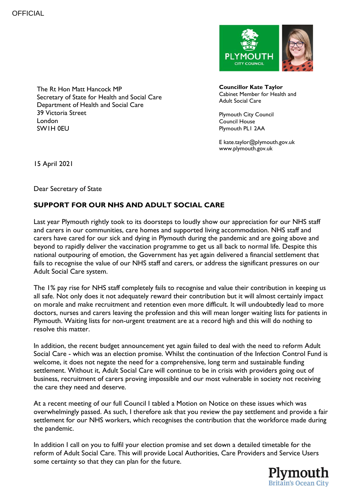

The Rt Hon Matt Hancock MP Secretary of State for Health and Social Care Department of Health and Social Care 39 Victoria Street London SW1H 0EU

**Councillor Kate Taylor** Cabinet Member for Health and Adult Social Care

Plymouth City Council Council House Plymouth PL1 2AA

E kate.taylor@plymouth.gov.uk www.plymouth.gov.uk

15 April 2021

Dear Secretary of State

## **SUPPORT FOR OUR NHS AND ADULT SOCIAL CARE**

Last year Plymouth rightly took to its doorsteps to loudly show our appreciation for our NHS staff and carers in our communities, care homes and supported living accommodation. NHS staff and carers have cared for our sick and dying in Plymouth during the pandemic and are going above and beyond to rapidly deliver the vaccination programme to get us all back to normal life. Despite this national outpouring of emotion, the Government has yet again delivered a financial settlement that fails to recognise the value of our NHS staff and carers, or address the significant pressures on our Adult Social Care system.

The 1% pay rise for NHS staff completely fails to recognise and value their contribution in keeping us all safe. Not only does it not adequately reward their contribution but it will almost certainly impact on morale and make recruitment and retention even more difficult. It will undoubtedly lead to more doctors, nurses and carers leaving the profession and this will mean longer waiting lists for patients in Plymouth. Waiting lists for non-urgent treatment are at a record high and this will do nothing to resolve this matter.

In addition, the recent budget announcement yet again failed to deal with the need to reform Adult Social Care - which was an election promise. Whilst the continuation of the Infection Control Fund is welcome, it does not negate the need for a comprehensive, long term and sustainable funding settlement. Without it, Adult Social Care will continue to be in crisis with providers going out of business, recruitment of carers proving impossible and our most vulnerable in society not receiving the care they need and deserve.

At a recent meeting of our full Council I tabled a Motion on Notice on these issues which was overwhelmingly passed. As such, I therefore ask that you review the pay settlement and provide a fair settlement for our NHS workers, which recognises the contribution that the workforce made during the pandemic.

In addition I call on you to fulfil your election promise and set down a detailed timetable for the reform of Adult Social Care. This will provide Local Authorities, Care Providers and Service Users some certainty so that they can plan for the future.